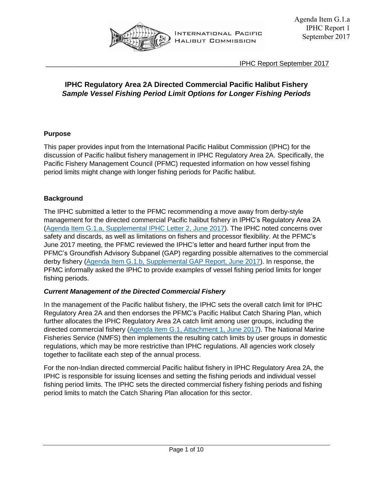

\_\_\_\_\_\_\_\_\_\_\_\_\_\_\_\_\_\_\_\_\_\_\_\_\_\_\_\_\_\_\_\_\_\_\_\_\_\_\_\_\_\_\_\_\_\_\_\_\_\_\_\_IPHC Report September 2017

# **IPHC Regulatory Area 2A Directed Commercial Pacific Halibut Fishery** *Sample Vessel Fishing Period Limit Options for Longer Fishing Periods*

# **Purpose**

This paper provides input from the International Pacific Halibut Commission (IPHC) for the discussion of Pacific halibut fishery management in IPHC Regulatory Area 2A. Specifically, the Pacific Fishery Management Council (PFMC) requested information on how vessel fishing period limits might change with longer fishing periods for Pacific halibut.

# **Background**

The IPHC submitted a letter to the PFMC recommending a move away from derby-style management for the directed commercial Pacific halibut fishery in IPHC's Regulatory Area 2A [\(Agenda Item G.1.a, Supplemental IPHC Letter 2, June 2017\)](http://www.pcouncil.org/wp-content/uploads/2017/06/G1a_Sup_IPHC_Ltr2_CommlDerbyFishery_Jun2017BB.pdf). The IPHC noted concerns over safety and discards, as well as limitations on fishers and processor flexibility. At the PFMC's June 2017 meeting, the PFMC reviewed the IPHC's letter and heard further input from the PFMC's Groundfish Advisory Subpanel (GAP) regarding possible alternatives to the commercial derby fishery [\(Agenda Item G.1.b, Supplemental GAP Report, June 2017\)](http://www.pcouncil.org/wp-content/uploads/2017/06/G1b_Sup_GAP_Rpt_Jun2017BB.pdf). In response, the PFMC informally asked the IPHC to provide examples of vessel fishing period limits for longer fishing periods.

# *Current Management of the Directed Commercial Fishery*

In the management of the Pacific halibut fishery, the IPHC sets the overall catch limit for IPHC Regulatory Area 2A and then endorses the PFMC's Pacific Halibut Catch Sharing Plan, which further allocates the IPHC Regulatory Area 2A catch limit among user groups, including the directed commercial fishery [\(Agenda Item G.1, Attachment 1, June 2017\)](http://www.pcouncil.org/wp-content/uploads/2017/05/G1_Att1_2017CSP_Jun2017BB.pdf). The National Marine Fisheries Service (NMFS) then implements the resulting catch limits by user groups in domestic regulations, which may be more restrictive than IPHC regulations. All agencies work closely together to facilitate each step of the annual process.

For the non-Indian directed commercial Pacific halibut fishery in IPHC Regulatory Area 2A, the IPHC is responsible for issuing licenses and setting the fishing periods and individual vessel fishing period limits. The IPHC sets the directed commercial fishery fishing periods and fishing period limits to match the Catch Sharing Plan allocation for this sector.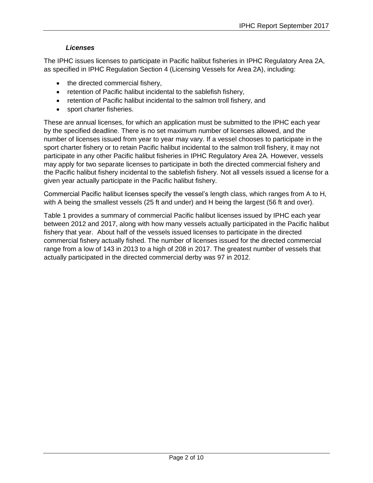# *Licenses*

The IPHC issues licenses to participate in Pacific halibut fisheries in IPHC Regulatory Area 2A, as specified in IPHC Regulation Section 4 (Licensing Vessels for Area 2A), including:

- the directed commercial fishery,
- retention of Pacific halibut incidental to the sablefish fishery,
- retention of Pacific halibut incidental to the salmon troll fishery, and
- sport charter fisheries.

These are annual licenses, for which an application must be submitted to the IPHC each year by the specified deadline. There is no set maximum number of licenses allowed, and the number of licenses issued from year to year may vary. If a vessel chooses to participate in the sport charter fishery or to retain Pacific halibut incidental to the salmon troll fishery, it may not participate in any other Pacific halibut fisheries in IPHC Regulatory Area 2A. However, vessels may apply for two separate licenses to participate in both the directed commercial fishery and the Pacific halibut fishery incidental to the sablefish fishery. Not all vessels issued a license for a given year actually participate in the Pacific halibut fishery.

Commercial Pacific halibut licenses specify the vessel's length class, which ranges from A to H, with A being the smallest vessels (25 ft and under) and H being the largest (56 ft and over).

Table 1 provides a summary of commercial Pacific halibut licenses issued by IPHC each year between 2012 and 2017, along with how many vessels actually participated in the Pacific halibut fishery that year. About half of the vessels issued licenses to participate in the directed commercial fishery actually fished. The number of licenses issued for the directed commercial range from a low of 143 in 2013 to a high of 208 in 2017. The greatest number of vessels that actually participated in the directed commercial derby was 97 in 2012.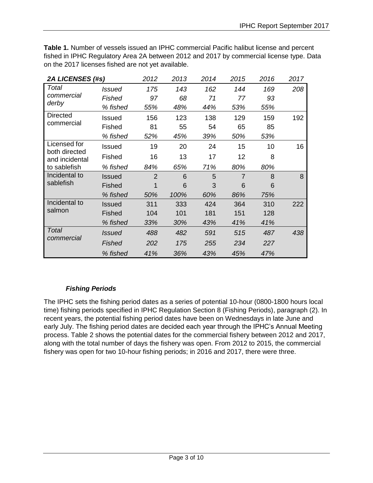**Table 1.** Number of vessels issued an IPHC commercial Pacific halibut license and percent fished in IPHC Regulatory Area 2A between 2012 and 2017 by commercial license type. Data on the 2017 licenses fished are not yet available.

| 2A LICENSES (#s)                                                | 2012          | 2013           | 2014 | 2015 | 2016           | 2017 |     |
|-----------------------------------------------------------------|---------------|----------------|------|------|----------------|------|-----|
| Total<br>commercial                                             | <b>Issued</b> | 175            | 143  | 162  | 144            | 169  | 208 |
|                                                                 | Fished        | 97             | 68   | 71   | 77             | 93   |     |
| derby                                                           | % fished      | 55%            | 48%  | 44%  | 53%            | 55%  |     |
| Directed                                                        | Issued        | 156            | 123  | 138  | 129            | 159  | 192 |
| commercial                                                      | Fished        | 81             | 55   | 54   | 65             | 85   |     |
|                                                                 | % fished      | 52%            | 45%  | 39%  | 50%            | 53%  |     |
| Licensed for<br>both directed<br>and incidental<br>to sablefish | Issued        | 19             | 20   | 24   | 15             | 10   | 16  |
|                                                                 | Fished        | 16             | 13   | 17   | 12             | 8    |     |
|                                                                 | % fished      | 84%            | 65%  | 71%  | 80%            | 80%  |     |
| Incidental to<br>sablefish                                      | Issued        | $\overline{2}$ | 6    | 5    | $\overline{7}$ | 8    | 8   |
|                                                                 | Fished        |                | 6    | 3    | 6              | 6    |     |
|                                                                 | % fished      | 50%            | 100% | 60%  | 86%            | 75%  |     |
| Incidental to<br>salmon                                         | Issued        | 311            | 333  | 424  | 364            | 310  | 222 |
|                                                                 | Fished        | 104            | 101  | 181  | 151            | 128  |     |
|                                                                 | % fished      | 33%            | 30%  | 43%  | 41%            | 41%  |     |
| Total<br>commercial                                             | <i>Issued</i> | 488            | 482  | 591  | 515            | 487  | 438 |
|                                                                 | Fished        | 202            | 175  | 255  | 234            | 227  |     |
|                                                                 | % fished      | 41%            | 36%  | 43%  | 45%            | 47%  |     |

# *Fishing Periods*

The IPHC sets the fishing period dates as a series of potential 10-hour (0800-1800 hours local time) fishing periods specified in IPHC Regulation Section 8 (Fishing Periods), paragraph (2). In recent years, the potential fishing period dates have been on Wednesdays in late June and early July. The fishing period dates are decided each year through the IPHC's Annual Meeting process. Table 2 shows the potential dates for the commercial fishery between 2012 and 2017, along with the total number of days the fishery was open. From 2012 to 2015, the commercial fishery was open for two 10-hour fishing periods; in 2016 and 2017, there were three.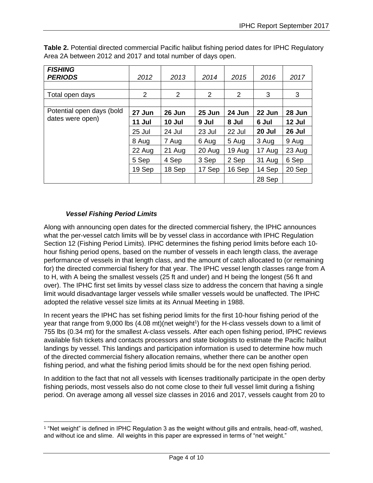| <b>FISHING</b><br><b>PERIODS</b> | 2012   | 2013           | 2014   | 2015           | 2016   | 2017   |
|----------------------------------|--------|----------------|--------|----------------|--------|--------|
|                                  |        |                |        |                |        |        |
| Total open days                  | 2      | $\overline{2}$ | 2      | $\overline{2}$ | 3      | 3      |
|                                  |        |                |        |                |        |        |
| Potential open days (bold        | 27 Jun | 26 Jun         | 25 Jun | 24 Jun         | 22 Jun | 28 Jun |
| dates were open)                 | 11 Jul | 10 Jul         | 9 Jul  | 8 Jul          | 6 Jul  | 12 Jul |
|                                  | 25 Jul | 24 Jul         | 23 Jul | 22 Jul         | 20 Jul | 26 Jul |
|                                  | 8 Aug  | 7 Aug          | 6 Aug  | 5 Aug          | 3 Aug  | 9 Aug  |
|                                  | 22 Aug | 21 Aug         | 20 Aug | 19 Aug         | 17 Aug | 23 Aug |
|                                  | 5 Sep  | 4 Sep          | 3 Sep  | 2 Sep          | 31 Aug | 6 Sep  |
|                                  | 19 Sep | 18 Sep         | 17 Sep | 16 Sep         | 14 Sep | 20 Sep |
|                                  |        |                |        |                | 28 Sep |        |

**Table 2.** Potential directed commercial Pacific halibut fishing period dates for IPHC Regulatory Area 2A between 2012 and 2017 and total number of days open.

# *Vessel Fishing Period Limits*

 $\overline{\phantom{a}}$ 

Along with announcing open dates for the directed commercial fishery, the IPHC announces what the per-vessel catch limits will be by vessel class in accordance with IPHC Regulation Section 12 (Fishing Period Limits). IPHC determines the fishing period limits before each 10 hour fishing period opens, based on the number of vessels in each length class, the average performance of vessels in that length class, and the amount of catch allocated to (or remaining for) the directed commercial fishery for that year. The IPHC vessel length classes range from A to H, with A being the smallest vessels (25 ft and under) and H being the longest (56 ft and over). The IPHC first set limits by vessel class size to address the concern that having a single limit would disadvantage larger vessels while smaller vessels would be unaffected. The IPHC adopted the relative vessel size limits at its Annual Meeting in 1988.

In recent years the IPHC has set fishing period limits for the first 10-hour fishing period of the year that range from 9,000 lbs (4.08 mt)(net weight<sup>1</sup>) for the H-class vessels down to a limit of 755 lbs (0.34 mt) for the smallest A-class vessels. After each open fishing period, IPHC reviews available fish tickets and contacts processors and state biologists to estimate the Pacific halibut landings by vessel. This landings and participation information is used to determine how much of the directed commercial fishery allocation remains, whether there can be another open fishing period, and what the fishing period limits should be for the next open fishing period.

In addition to the fact that not all vessels with licenses traditionally participate in the open derby fishing periods, most vessels also do not come close to their full vessel limit during a fishing period. On average among all vessel size classes in 2016 and 2017, vessels caught from 20 to

<sup>1</sup> "Net weight" is defined in IPHC Regulation 3 as the weight without gills and entrails, head-off, washed, and without ice and slime. All weights in this paper are expressed in terms of "net weight."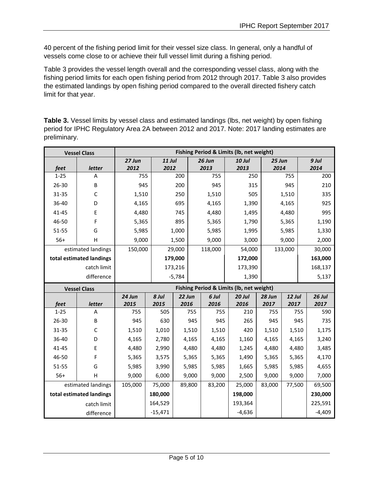40 percent of the fishing period limit for their vessel size class. In general, only a handful of vessels come close to or achieve their full vessel limit during a fishing period.

Table 3 provides the vessel length overall and the corresponding vessel class, along with the fishing period limits for each open fishing period from 2012 through 2017. Table 3 also provides the estimated landings by open fishing period compared to the overall directed fishery catch limit for that year.

Table 3. Vessel limits by vessel class and estimated landings (lbs, net weight) by open fishing period for IPHC Regulatory Area 2A between 2012 and 2017. Note: 2017 landing estimates are preliminary.

|            | <b>Vessel Class</b>      | Fishing Period & Limits (lb, net weight)                                                             |           |          |                 |          |        |               |          |  |
|------------|--------------------------|------------------------------------------------------------------------------------------------------|-----------|----------|-----------------|----------|--------|---------------|----------|--|
| feet       | letter                   | <b>11 Jul</b><br>27 Jun<br>26 Jun<br><b>10 Jul</b><br>25 Jun<br>2013<br>2013<br>2012<br>2012<br>2014 |           |          | $9$ Jul<br>2014 |          |        |               |          |  |
| $1 - 25$   | A                        | 755                                                                                                  |           | 200      | 755             | 250      |        | 755           | 200      |  |
| 26-30      | B                        | 945                                                                                                  |           | 200      | 945             | 315      |        | 945           | 210      |  |
| 31-35      | $\mathsf C$              | 1,510                                                                                                |           | 250      | 1,510           | 505      |        | 1,510         | 335      |  |
| 36-40      | D                        | 4,165                                                                                                |           | 695      | 4,165           | 1,390    |        | 4,165         | 925      |  |
| 41-45      | E                        | 4,480                                                                                                |           | 745      | 4,480           | 1,495    |        | 4,480         | 995      |  |
| 46-50      | F                        | 5,365                                                                                                |           | 895      | 5,365           | 1,790    |        | 5,365         | 1,190    |  |
| 51-55      | G                        | 5,985                                                                                                |           | 1,000    | 5,985           | 1,995    |        | 5,985         | 1,330    |  |
| $56+$      | H                        | 9,000                                                                                                |           | 1,500    | 9,000           | 3,000    |        | 9,000         | 2,000    |  |
|            | estimated landings       | 150,000                                                                                              |           | 29,000   | 118,000         | 54,000   |        | 133,000       | 30,000   |  |
|            | total estimated landings |                                                                                                      |           | 179,000  |                 | 172,000  |        |               | 163,000  |  |
|            | catch limit              |                                                                                                      |           | 173,216  |                 | 173,390  |        |               | 168,137  |  |
| difference |                          |                                                                                                      |           | $-5,784$ |                 | 1,390    |        |               | 5,137    |  |
|            | <b>Vessel Class</b>      | Fishing Period & Limits (lb, net weight)                                                             |           |          |                 |          |        |               |          |  |
|            |                          | 24 Jun                                                                                               | 8 Jul     | 22 Jun   | 6 Jul           | $20$ Jul | 28 Jun | <b>12 Jul</b> | $26$ Jul |  |
| feet       | letter                   | 2015                                                                                                 | 2015      | 2016     | 2016            | 2016     | 2017   | 2017          | 2017     |  |
| $1 - 25$   | A                        | 755                                                                                                  | 505       | 755      | 755             | 210      | 755    | 755           | 590      |  |
| 26-30      | B                        | 945                                                                                                  | 630       | 945      | 945             | 265      | 945    | 945           | 735      |  |
| 31-35      | $\mathsf C$              | 1,510                                                                                                | 1,010     | 1,510    | 1,510           | 420      | 1,510  | 1,510         | 1,175    |  |
| 36-40      | D                        | 4,165                                                                                                | 2,780     | 4,165    | 4,165           | 1,160    | 4,165  | 4,165         | 3,240    |  |
| 41-45      | E                        | 4,480                                                                                                | 2,990     | 4,480    | 4,480           | 1,245    | 4,480  | 4,480         | 3,485    |  |
| 46-50      | F                        | 5,365                                                                                                | 3,575     | 5,365    | 5,365           | 1,490    | 5,365  | 5,365         | 4,170    |  |
| 51-55      | G                        | 5,985                                                                                                | 3,990     | 5,985    | 5,985           | 1,665    | 5,985  | 5,985         | 4,655    |  |
| $56+$      | H                        | 9,000                                                                                                | 6,000     | 9,000    | 9,000           | 2,500    | 9,000  | 9,000         | 7,000    |  |
|            | estimated landings       |                                                                                                      | 75,000    | 89,800   | 83,200          | 25,000   | 83,000 | 77,500        | 69,500   |  |
|            | total estimated landings |                                                                                                      | 180,000   |          |                 | 198,000  |        |               | 230,000  |  |
|            | catch limit              |                                                                                                      | 164,529   |          |                 | 193,364  |        |               | 225,591  |  |
|            | difference               |                                                                                                      | $-15,471$ |          |                 | $-4,636$ |        |               | $-4,409$ |  |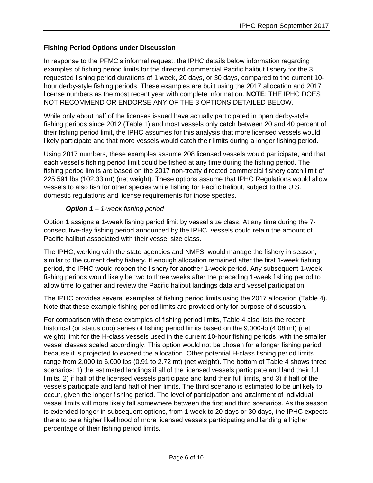# **Fishing Period Options under Discussion**

In response to the PFMC's informal request, the IPHC details below information regarding examples of fishing period limits for the directed commercial Pacific halibut fishery for the 3 requested fishing period durations of 1 week, 20 days, or 30 days, compared to the current 10 hour derby-style fishing periods. These examples are built using the 2017 allocation and 2017 license numbers as the most recent year with complete information. **NOTE**: THE IPHC DOES NOT RECOMMEND OR ENDORSE ANY OF THE 3 OPTIONS DETAILED BELOW.

While only about half of the licenses issued have actually participated in open derby-style fishing periods since 2012 (Table 1) and most vessels only catch between 20 and 40 percent of their fishing period limit, the IPHC assumes for this analysis that more licensed vessels would likely participate and that more vessels would catch their limits during a longer fishing period.

Using 2017 numbers, these examples assume 208 licensed vessels would participate, and that each vessel's fishing period limit could be fished at any time during the fishing period. The fishing period limits are based on the 2017 non-treaty directed commercial fishery catch limit of 225,591 lbs (102.33 mt) (net weight). These options assume that IPHC Regulations would allow vessels to also fish for other species while fishing for Pacific halibut, subject to the U.S. domestic regulations and license requirements for those species.

#### *Option 1 – 1-week fishing period*

Option 1 assigns a 1-week fishing period limit by vessel size class. At any time during the 7 consecutive-day fishing period announced by the IPHC, vessels could retain the amount of Pacific halibut associated with their vessel size class.

The IPHC, working with the state agencies and NMFS, would manage the fishery in season, similar to the current derby fishery. If enough allocation remained after the first 1-week fishing period, the IPHC would reopen the fishery for another 1-week period. Any subsequent 1-week fishing periods would likely be two to three weeks after the preceding 1-week fishing period to allow time to gather and review the Pacific halibut landings data and vessel participation.

The IPHC provides several examples of fishing period limits using the 2017 allocation (Table 4). Note that these example fishing period limits are provided only for purpose of discussion.

For comparison with these examples of fishing period limits, Table 4 also lists the recent historical (or status quo) series of fishing period limits based on the 9,000-lb (4.08 mt) (net weight) limit for the H-class vessels used in the current 10-hour fishing periods, with the smaller vessel classes scaled accordingly. This option would not be chosen for a longer fishing period because it is projected to exceed the allocation. Other potential H-class fishing period limits range from 2,000 to 6,000 lbs (0.91 to 2.72 mt) (net weight). The bottom of Table 4 shows three scenarios: 1) the estimated landings if all of the licensed vessels participate and land their full limits, 2) if half of the licensed vessels participate and land their full limits, and 3) if half of the vessels participate and land half of their limits. The third scenario is estimated to be unlikely to occur, given the longer fishing period. The level of participation and attainment of individual vessel limits will more likely fall somewhere between the first and third scenarios. As the season is extended longer in subsequent options, from 1 week to 20 days or 30 days, the IPHC expects there to be a higher likelihood of more licensed vessels participating and landing a higher percentage of their fishing period limits.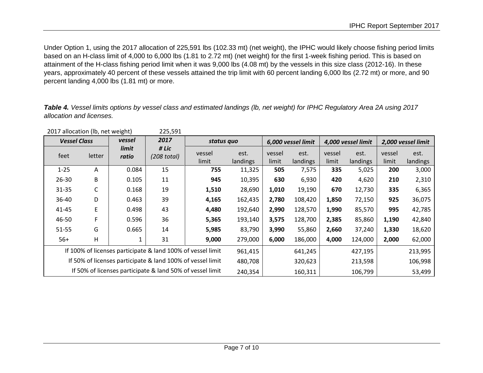Under Option 1, using the 2017 allocation of 225,591 lbs (102.33 mt) (net weight), the IPHC would likely choose fishing period limits based on an H-class limit of 4,000 to 6,000 lbs (1.81 to 2.72 mt) (net weight) for the first 1-week fishing period. This is based on attainment of the H-class fishing period limit when it was 9,000 lbs (4.08 mt) by the vessels in this size class (2012-16). In these years, approximately 40 percent of these vessels attained the trip limit with 60 percent landing 6,000 lbs (2.72 mt) or more, and 90 percent landing 4,000 lbs (1.81 mt) or more.

*Table 4. Vessel limits options by vessel class and estimated landings (lb, net weight) for IPHC Regulatory Area 2A using 2017 allocation and licenses.*

| ZUIT dilutation (ib, net weight)                           |                                                             |                | 223,391              |                 |                    |                 |                    |                 |                    |                 |                  |
|------------------------------------------------------------|-------------------------------------------------------------|----------------|----------------------|-----------------|--------------------|-----------------|--------------------|-----------------|--------------------|-----------------|------------------|
| vessel<br><b>Vessel Class</b>                              |                                                             | 2017           | status quo           |                 | 6,000 vessel limit |                 | 4,000 vessel limit |                 | 2,000 vessel limit |                 |                  |
| feet                                                       | letter                                                      | limit<br>ratio | # Lic<br>(208 total) | vessel<br>limit | est.<br>landings   | vessel<br>limit | est.<br>landings   | vessel<br>limit | est.<br>landings   | vessel<br>limit | est.<br>landings |
| $1 - 25$                                                   | A                                                           | 0.084          | 15                   | 755             | 11,325             | 505             | 7,575              | 335             | 5,025              | 200             | 3,000            |
| $26 - 30$                                                  | B                                                           | 0.105          | 11                   | 945             | 10,395             | 630             | 6,930              | 420             | 4,620              | 210             | 2,310            |
| $31 - 35$                                                  | С                                                           | 0.168          | 19                   | 1,510           | 28,690             | 1,010           | 19,190             | 670             | 12,730             | 335             | 6,365            |
| 36-40                                                      | D                                                           | 0.463          | 39                   | 4,165           | 162,435            | 2,780           | 108,420            | 1,850           | 72,150             | 925             | 36,075           |
| 41-45                                                      | E                                                           | 0.498          | 43                   | 4,480           | 192,640            | 2,990           | 128,570            | 1,990           | 85,570             | 995             | 42,785           |
| 46-50                                                      | F                                                           | 0.596          | 36                   | 5,365           | 193,140            | 3,575           | 128,700            | 2,385           | 85,860             | 1,190           | 42,840           |
| $51 - 55$                                                  | G                                                           | 0.665          | 14                   | 5,985           | 83,790             | 3,990           | 55,860             | 2,660           | 37,240             | 1,330           | 18,620           |
| $56+$                                                      | H                                                           |                | 31                   | 9,000           | 279,000            | 6,000           | 186,000            | 4,000           | 124,000            | 2,000           | 62,000           |
|                                                            | If 100% of licenses participate & land 100% of vessel limit |                |                      | 961,415         |                    | 641,245         |                    | 427,195         |                    | 213,995         |                  |
| If 50% of licenses participate & land 100% of vessel limit |                                                             |                | 480,708              |                 | 320,623            |                 | 213,598            |                 | 106,998            |                 |                  |
| If 50% of licenses participate & land 50% of vessel limit  |                                                             |                | 240,354              |                 | 160,311            |                 | 106,799            |                 | 53,499             |                 |                  |

 $2017$  allocation (lb, net weight)  $225,591$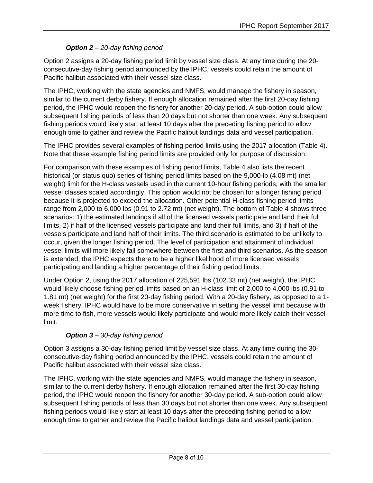# *Option 2 – 20-day fishing period*

Option 2 assigns a 20-day fishing period limit by vessel size class. At any time during the 20 consecutive-day fishing period announced by the IPHC, vessels could retain the amount of Pacific halibut associated with their vessel size class.

The IPHC, working with the state agencies and NMFS, would manage the fishery in season, similar to the current derby fishery. If enough allocation remained after the first 20-day fishing period, the IPHC would reopen the fishery for another 20-day period. A sub-option could allow subsequent fishing periods of less than 20 days but not shorter than one week. Any subsequent fishing periods would likely start at least 10 days after the preceding fishing period to allow enough time to gather and review the Pacific halibut landings data and vessel participation.

The IPHC provides several examples of fishing period limits using the 2017 allocation (Table 4). Note that these example fishing period limits are provided only for purpose of discussion.

For comparison with these examples of fishing period limits, Table 4 also lists the recent historical (or status quo) series of fishing period limits based on the 9,000-lb (4.08 mt) (net weight) limit for the H-class vessels used in the current 10-hour fishing periods, with the smaller vessel classes scaled accordingly. This option would not be chosen for a longer fishing period because it is projected to exceed the allocation. Other potential H-class fishing period limits range from 2,000 to 6,000 lbs (0.91 to 2.72 mt) (net weight). The bottom of Table 4 shows three scenarios: 1) the estimated landings if all of the licensed vessels participate and land their full limits, 2) if half of the licensed vessels participate and land their full limits, and 3) if half of the vessels participate and land half of their limits. The third scenario is estimated to be unlikely to occur, given the longer fishing period. The level of participation and attainment of individual vessel limits will more likely fall somewhere between the first and third scenarios. As the season is extended, the IPHC expects there to be a higher likelihood of more licensed vessels participating and landing a higher percentage of their fishing period limits.

Under Option 2, using the 2017 allocation of 225,591 lbs (102.33 mt) (net weight), the IPHC would likely choose fishing period limits based on an H-class limit of 2,000 to 4,000 lbs (0.91 to 1.81 mt) (net weight) for the first 20-day fishing period. With a 20-day fishery, as opposed to a 1 week fishery, IPHC would have to be more conservative in setting the vessel limit because with more time to fish, more vessels would likely participate and would more likely catch their vessel limit.

# *Option 3 – 30-day fishing period*

Option 3 assigns a 30-day fishing period limit by vessel size class. At any time during the 30 consecutive-day fishing period announced by the IPHC, vessels could retain the amount of Pacific halibut associated with their vessel size class.

The IPHC, working with the state agencies and NMFS, would manage the fishery in season, similar to the current derby fishery. If enough allocation remained after the first 30-day fishing period, the IPHC would reopen the fishery for another 30-day period. A sub-option could allow subsequent fishing periods of less than 30 days but not shorter than one week. Any subsequent fishing periods would likely start at least 10 days after the preceding fishing period to allow enough time to gather and review the Pacific halibut landings data and vessel participation.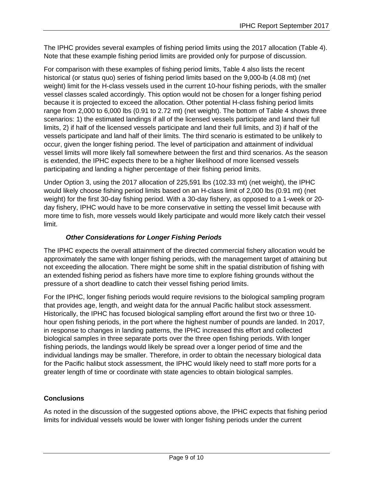The IPHC provides several examples of fishing period limits using the 2017 allocation (Table 4). Note that these example fishing period limits are provided only for purpose of discussion.

For comparison with these examples of fishing period limits, Table 4 also lists the recent historical (or status quo) series of fishing period limits based on the 9,000-lb (4.08 mt) (net weight) limit for the H-class vessels used in the current 10-hour fishing periods, with the smaller vessel classes scaled accordingly. This option would not be chosen for a longer fishing period because it is projected to exceed the allocation. Other potential H-class fishing period limits range from 2,000 to 6,000 lbs (0.91 to 2.72 mt) (net weight). The bottom of Table 4 shows three scenarios: 1) the estimated landings if all of the licensed vessels participate and land their full limits, 2) if half of the licensed vessels participate and land their full limits, and 3) if half of the vessels participate and land half of their limits. The third scenario is estimated to be unlikely to occur, given the longer fishing period. The level of participation and attainment of individual vessel limits will more likely fall somewhere between the first and third scenarios. As the season is extended, the IPHC expects there to be a higher likelihood of more licensed vessels participating and landing a higher percentage of their fishing period limits.

Under Option 3, using the 2017 allocation of 225,591 lbs (102.33 mt) (net weight), the IPHC would likely choose fishing period limits based on an H-class limit of 2,000 lbs (0.91 mt) (net weight) for the first 30-day fishing period. With a 30-day fishery, as opposed to a 1-week or 20 day fishery, IPHC would have to be more conservative in setting the vessel limit because with more time to fish, more vessels would likely participate and would more likely catch their vessel limit.

# *Other Considerations for Longer Fishing Periods*

The IPHC expects the overall attainment of the directed commercial fishery allocation would be approximately the same with longer fishing periods, with the management target of attaining but not exceeding the allocation. There might be some shift in the spatial distribution of fishing with an extended fishing period as fishers have more time to explore fishing grounds without the pressure of a short deadline to catch their vessel fishing period limits.

For the IPHC, longer fishing periods would require revisions to the biological sampling program that provides age, length, and weight data for the annual Pacific halibut stock assessment. Historically, the IPHC has focused biological sampling effort around the first two or three 10 hour open fishing periods, in the port where the highest number of pounds are landed. In 2017, in response to changes in landing patterns, the IPHC increased this effort and collected biological samples in three separate ports over the three open fishing periods. With longer fishing periods, the landings would likely be spread over a longer period of time and the individual landings may be smaller. Therefore, in order to obtain the necessary biological data for the Pacific halibut stock assessment, the IPHC would likely need to staff more ports for a greater length of time or coordinate with state agencies to obtain biological samples.

# **Conclusions**

As noted in the discussion of the suggested options above, the IPHC expects that fishing period limits for individual vessels would be lower with longer fishing periods under the current